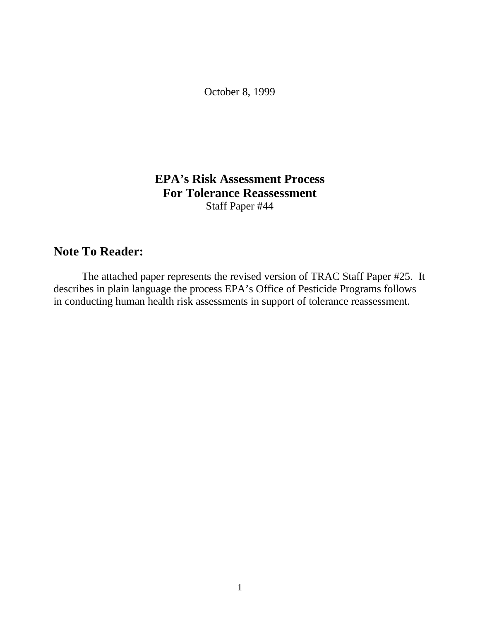October 8, 1999

## **EPA's Risk Assessment Process For Tolerance Reassessment** Staff Paper #44

## **Note To Reader:**

The attached paper represents the revised version of TRAC Staff Paper #25. It describes in plain language the process EPA's Office of Pesticide Programs follows in conducting human health risk assessments in support of tolerance reassessment.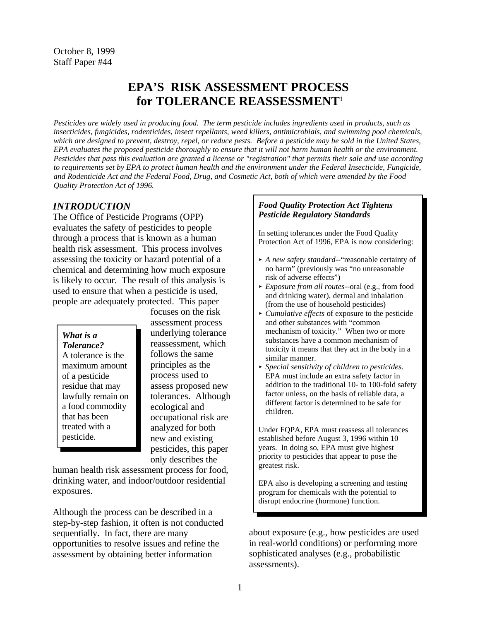# **EPA'S RISK ASSESSMENT PROCESS for TOLERANCE REASSESSMENT**<sup>1</sup>

*Pesticides are widely used in producing food. The term pesticide includes ingredients used in products, such as insecticides, fungicides, rodenticides, insect repellants, weed killers, antimicrobials, and swimming pool chemicals, which are designed to prevent, destroy, repel, or reduce pests. Before a pesticide may be sold in the United States, EPA evaluates the proposed pesticide thoroughly to ensure that it will not harm human health or the environment. Pesticides that pass this evaluation are granted a license or "registration" that permits their sale and use according*  to requirements set by EPA to protect human health and the environment under the Federal Insecticide, Fungicide, *and Rodenticide Act and the Federal Food, Drug, and Cosmetic Act, both of which were amended by the Food Quality Protection Act of 1996.* 

#### *INTRODUCTION*

The Office of Pesticide Programs (OPP) evaluates the safety of pesticides to people through a process that is known as a human health risk assessment. This process involves assessing the toxicity or hazard potential of a chemical and determining how much exposure is likely to occur. The result of this analysis is used to ensure that when a pesticide is used, people are adequately protected. This paper

maximum amount A tolerance is the of a pesticide residue that may a food commodity ecological and that has been treated with a analyzed for both<br>
new and existing

focuses on the risk assessment process *What is a* underlying tolerance *Tolerance*? *Tolerance?* reassessment, which follows the same principles as the process used to assess proposed new lawfully remain on tolerances. Although that has been occupational risk are<br>treated with a analyzed for both new and existing. pesticides, this paper only describes the

human health risk assessment process for food, drinking water, and indoor/outdoor residential exposures.

Although the process can be described in a step-by-step fashion, it often is not conducted sequentially. In fact, there are many opportunities to resolve issues and refine the assessment by obtaining better information

#### *Food Quality Protection Act Tightens Pesticide Regulatory Standards*

In setting tolerances under the Food Quality Protection Act of 1996, EPA is now considering:

- < *A new safety standard*--"reasonable certainty of no harm" (previously was "no unreasonable risk of adverse effects")
- < *Exposure from all routes*--oral (e.g., from food and drinking water), dermal and inhalation (from the use of household pesticides)
- < *Cumulative effects* of exposure to the pesticide and other substances with "common mechanism of toxicity." When two or more substances have a common mechanism of toxicity it means that they act in the body in a similar manner.
- < *Special sensitivity of children to pesticides*. EPA must include an extra safety factor in addition to the traditional 10- to 100-fold safety factor unless, on the basis of reliable data, a different factor is determined to be safe for children.

Under FQPA, EPA must reassess all tolerances established before August 3, 1996 within 10 years. In doing so, EPA must give highest priority to pesticides that appear to pose the greatest risk.

EPA also is developing a screening and testing program for chemicals with the potential to disrupt endocrine (hormone) function.

about exposure (e.g., how pesticides are used in real-world conditions) or performing more sophisticated analyses (e.g., probabilistic assessments).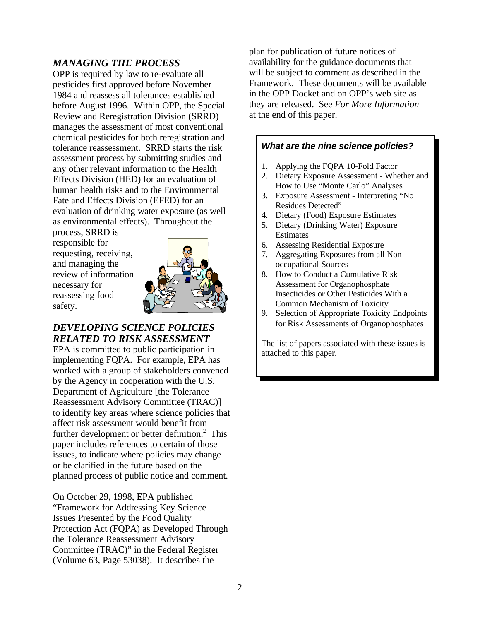### *MANAGING THE PROCESS*

OPP is required by law to re-evaluate all pesticides first approved before November 1984 and reassess all tolerances established before August 1996. Within OPP, the Special Review and Reregistration Division (SRRD) manages the assessment of most conventional chemical pesticides for both reregistration and tolerance reassessment. SRRD starts the risk assessment process by submitting studies and any other relevant information to the Health Effects Division (HED) for an evaluation of human health risks and to the Environmental Fate and Effects Division (EFED) for an evaluation of drinking water exposure (as well as environmental effects). Throughout the

process, SRRD is responsible for requesting, receiving, and managing the review of information necessary for reassessing food safety.



### *DEVELOPING SCIENCE POLICIES RELATED TO RISK ASSESSMENT*

EPA is committed to public participation in implementing FQPA. For example, EPA has worked with a group of stakeholders convened by the Agency in cooperation with the U.S. Department of Agriculture [the Tolerance Reassessment Advisory Committee (TRAC)] to identify key areas where science policies that affect risk assessment would benefit from further development or better definition. $<sup>2</sup>$  This</sup> paper includes references to certain of those issues, to indicate where policies may change or be clarified in the future based on the planned process of public notice and comment.

On October 29, 1998, EPA published "Framework for Addressing Key Science Issues Presented by the Food Quality Protection Act (FQPA) as Developed Through the Tolerance Reassessment Advisory Committee (TRAC)" in the Federal Register (Volume 63, Page 53038). It describes the

plan for publication of future notices of availability for the guidance documents that will be subject to comment as described in the Framework. These documents will be available in the OPP Docket and on OPP's web site as they are released. See *For More Information*  at the end of this paper.

#### *What are the nine science policies?*

- 1. Applying the FQPA 10-Fold Factor
- 2. Dietary Exposure Assessment Whether and How to Use "Monte Carlo" Analyses
- 3. Exposure Assessment Interpreting "No Residues Detected"
- 4. Dietary (Food) Exposure Estimates
- 5. Dietary (Drinking Water) Exposure **Estimates**
- 6. Assessing Residential Exposure
- 7. Aggregating Exposures from all Nonoccupational Sources
- 8. How to Conduct a Cumulative Risk Assessment for Organophosphate Insecticides or Other Pesticides With a Common Mechanism of Toxicity
- 9. Selection of Appropriate Toxicity Endpoints for Risk Assessments of Organophosphates

The list of papers associated with these issues is attached to this paper.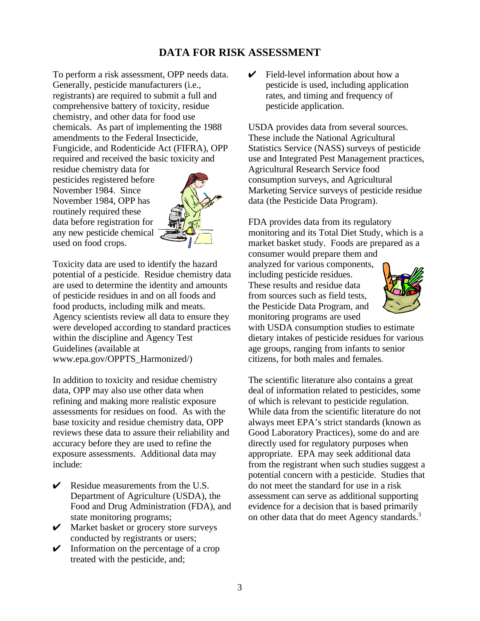## **DATA FOR RISK ASSESSMENT**

To perform a risk assessment, OPP needs data. Generally, pesticide manufacturers (i.e., registrants) are required to submit a full and comprehensive battery of toxicity, residue chemistry, and other data for food use chemicals. As part of implementing the 1988 amendments to the Federal Insecticide, Fungicide, and Rodenticide Act (FIFRA), OPP required and received the basic toxicity and

residue chemistry data for pesticides registered before November 1984. Since November 1984, OPP has routinely required these data before registration for any new pesticide chemical used on food crops.



Toxicity data are used to identify the hazard potential of a pesticide. Residue chemistry data are used to determine the identity and amounts of pesticide residues in and on all foods and food products, including milk and meats. Agency scientists review all data to ensure they were developed according to standard practices within the discipline and Agency Test Guidelines (available at www.epa.gov/OPPTS\_Harmonized/)

In addition to toxicity and residue chemistry data, OPP may also use other data when refining and making more realistic exposure assessments for residues on food. As with the base toxicity and residue chemistry data, OPP reviews these data to assure their reliability and accuracy before they are used to refine the exposure assessments. Additional data may include:

- $\triangleright$  Residue measurements from the U.S. Department of Agriculture (USDA), the Food and Drug Administration (FDA), and state monitoring programs;
- $\mathcal V$  Market basket or grocery store surveys conducted by registrants or users;
- $\triangleright$  Information on the percentage of a crop treated with the pesticide, and;

 $\triangleright$  Field-level information about how a pesticide is used, including application rates, and timing and frequency of pesticide application.

USDA provides data from several sources. These include the National Agricultural Statistics Service (NASS) surveys of pesticide use and Integrated Pest Management practices, Agricultural Research Service food consumption surveys, and Agricultural Marketing Service surveys of pesticide residue data (the Pesticide Data Program).

FDA provides data from its regulatory monitoring and its Total Diet Study, which is a market basket study. Foods are prepared as a consumer would prepare them and

analyzed for various components, including pesticide residues. These results and residue data from sources such as field tests, the Pesticide Data Program, and monitoring programs are used



with USDA consumption studies to estimate dietary intakes of pesticide residues for various age groups, ranging from infants to senior citizens, for both males and females.

The scientific literature also contains a great deal of information related to pesticides, some of which is relevant to pesticide regulation. While data from the scientific literature do not always meet EPA's strict standards (known as Good Laboratory Practices), some do and are directly used for regulatory purposes when appropriate. EPA may seek additional data from the registrant when such studies suggest a potential concern with a pesticide. Studies that do not meet the standard for use in a risk assessment can serve as additional supporting evidence for a decision that is based primarily on other data that do meet Agency standards.<sup>3</sup>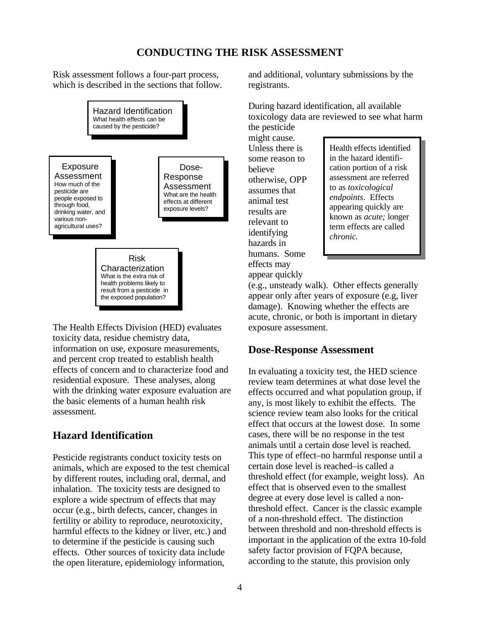## **CONDUCTING THE RISK ASSESSMENT**

Risk assessment follows a four-part process, which is described in the sections that follow.



The Health Effects Division (HED) evaluates toxicity data, residue chemistry data, information on use, exposure measurements, and percent crop treated to establish health effects of concern and to characterize food and residential exposure. These analyses, along with the drinking water exposure evaluation are the basic elements of a human health risk assessment.

## **Hazard Identification**

Pesticide registrants conduct toxicity tests on animals, which are exposed to the test chemical by different routes, including oral, dermal, and inhalation. The toxicity tests are designed to explore a wide spectrum of effects that may occur (e.g., birth defects, cancer, changes in fertility or ability to reproduce, neurotoxicity, harmful effects to the kidney or liver, etc.) and to determine if the pesticide is causing such effects. Other sources of toxicity data include the open literature, epidemiology information,

and additional, voluntary submissions by the registrants.

During hazard identification, all available toxicology data are reviewed to see what harm the pesticide

might cause. hazards in humans. Some effects may appear quickly

Unless there is Health effects identified some reason to in the hazard identifibelieve cation portion of a risk otherwise, OPP assessment are referred assumes that  $\begin{array}{c|c}\n\text{to as } \text{twicological} \\
\text{endpoints. Effects}\n\end{array}$ **endpoints**. Effects animal test results are relevant to term effects are called identifying *chronic*.

(e.g., unsteady walk). Other effects generally appear only after years of exposure (e.g, liver damage). Knowing whether the effects are acute, chronic, or both is important in dietary exposure assessment.

### **Dose-Response Assessment**

In evaluating a toxicity test, the HED science review team determines at what dose level the effects occurred and what population group, if any, is most likely to exhibit the effects. The science review team also looks for the critical effect that occurs at the lowest dose. In some cases, there will be no response in the test animals until a certain dose level is reached. This type of effect–no harmful response until a certain dose level is reached–is called a threshold effect (for example, weight loss). An effect that is observed even to the smallest degree at every dose level is called a nonthreshold effect. Cancer is the classic example of a non-threshold effect. The distinction between threshold and non-threshold effects is important in the application of the extra 10-fold safety factor provision of FQPA because, according to the statute, this provision only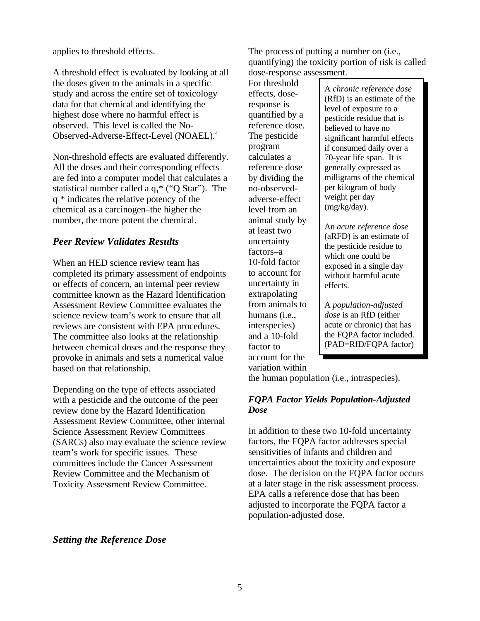applies to threshold effects.

A threshold effect is evaluated by looking at all the doses given to the animals in a specific study and across the entire set of toxicology data for that chemical and identifying the highest dose where no harmful effect is observed. This level is called the No-Observed-Adverse-Effect-Level (NOAEL).4

Non-threshold effects are evaluated differently. All the doses and their corresponding effects are fed into a computer model that calculates a statistical number called a  $q_1^*$  ("Q Star"). The  $q_1^*$  indicates the relative potency of the chemical as a carcinogen–the higher the number, the more potent the chemical.

#### *Peer Review Validates Results*

When an HED science review team has completed its primary assessment of endpoints or effects of concern, an internal peer review committee known as the Hazard Identification Assessment Review Committee evaluates the science review team's work to ensure that all reviews are consistent with EPA procedures. The committee also looks at the relationship between chemical doses and the response they provoke in animals and sets a numerical value based on that relationship.

Depending on the type of effects associated with a pesticide and the outcome of the peer review done by the Hazard Identification Assessment Review Committee, other internal Science Assessment Review Committees (SARCs) also may evaluate the science review team's work for specific issues. These committees include the Cancer Assessment Review Committee and the Mechanism of Toxicity Assessment Review Committee.

The process of putting a number on (i.e., quantifying) the toxicity portion of risk is called dose-response assessment.

For threshold adverse-effect weight per day<br>level from an  $\left(\frac{mg}{kg} \right)$ . level from an uncertainty in effects. extrapolating account for the variation within

For threshold<br>
effects, dose-<br>
response is<br>
quantified by a<br>
pesticide residue that is<br>
pesticide residue that is<br>
pelieved to have no<br>
pesticide residue that is The pesticide<br>
program
significant harmful effects
if consumed daily over a
significant
significant
significant
significant
significant
significant
significant
significant  $\frac{1}{2}$ program if consumed daily over a calculates a  $\begin{array}{c|c} 70\text{-} \text{year life} \end{array}$  if is 70-year life span. It is reference dose generally expressed as by dividing the milligrams of the chemical no-observed- per kilogram of body

animal study by<br>
at least two<br>
uncertainty<br>
factors-a<br>
10-fold factor<br>
to account for<br>
account for<br>
account for<br>
account for<br>
account for<br>
account for<br>
account for<br>
account for<br>
account harmful acute<br>
account for<br>
account

from animals to A *population-adjusted*  humans (i.e., *dose* is an RfD (either interspecies) acute or chronic) that has and a 10-fold the FQPA factor included. factor to  $(PAD=RfD/FQPA$  factor)

the human population (i.e., intraspecies).

#### *FQPA Factor Yields Population-Adjusted Dose*

In addition to these two 10-fold uncertainty factors, the FQPA factor addresses special sensitivities of infants and children and uncertainties about the toxicity and exposure dose. The decision on the FQPA factor occurs at a later stage in the risk assessment process. EPA calls a reference dose that has been adjusted to incorporate the FQPA factor a population-adjusted dose.

#### *Setting the Reference Dose*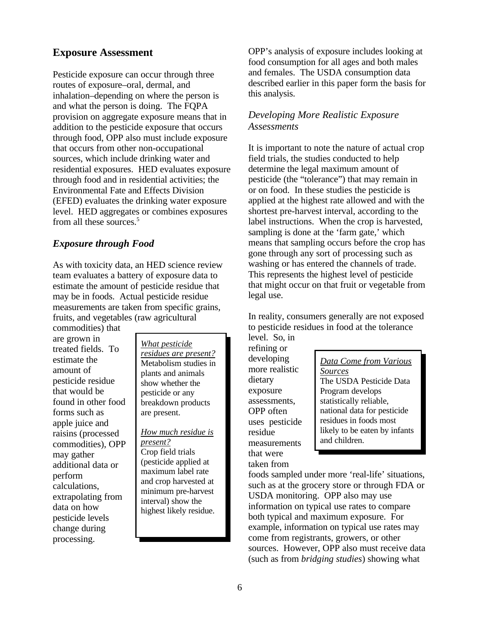#### **Exposure Assessment**

Pesticide exposure can occur through three routes of exposure–oral, dermal, and inhalation–depending on where the person is and what the person is doing. The FQPA provision on aggregate exposure means that in addition to the pesticide exposure that occurs through food, OPP also must include exposure that occurs from other non-occupational sources, which include drinking water and residential exposures. HED evaluates exposure through food and in residential activities; the Environmental Fate and Effects Division (EFED) evaluates the drinking water exposure level. HED aggregates or combines exposures from all these sources.<sup>5</sup>

#### *Exposure through Food*

As with toxicity data, an HED science review team evaluates a battery of exposure data to estimate the amount of pesticide residue that may be in foods. Actual pesticide residue measurements are taken from specific grains, fruits, and vegetables (raw agricultural

commodities) that are grown in treated fields. To estimate the amount of pesticide residue that would be found in other food forms such as apple juice and raisins (processed commodities), OPP may gather additional data or perform calculations, extrapolating from data on how pesticide levels change during processing.

*What pesticide residues are present?*  Metabolism studies in plants and animals show whether the pesticide or any breakdown products are present.

*How much residue is present?*  Crop field trials (pesticide applied at maximum label rate and crop harvested at minimum pre-harvest interval) show the highest likely residue. OPP's analysis of exposure includes looking at food consumption for all ages and both males and females. The USDA consumption data described earlier in this paper form the basis for this analysis.

#### *Developing More Realistic Exposure Assessments*

It is important to note the nature of actual crop field trials, the studies conducted to help determine the legal maximum amount of pesticide (the "tolerance") that may remain in or on food. In these studies the pesticide is applied at the highest rate allowed and with the shortest pre-harvest interval, according to the label instructions. When the crop is harvested, sampling is done at the 'farm gate,' which means that sampling occurs before the crop has gone through any sort of processing such as washing or has entered the channels of trade. This represents the highest level of pesticide that might occur on that fruit or vegetable from legal use.

In reality, consumers generally are not exposed to pesticide residues in food at the tolerance level. So, in

refining or measurements that were taken from

developing<br>
more realistic *Data Come from Various*<br>
<u>Sources</u><br>
The USDA Pesticide Data dietary The USDA Pesticide Data<br>exposure Program develops Program develops assessments, statistically reliable, OPP often national data for pesticide uses pesticide residues in foods most residue likely to be eaten by infants<br>and children.

foods sampled under more 'real-life' situations, such as at the grocery store or through FDA or USDA monitoring. OPP also may use information on typical use rates to compare both typical and maximum exposure. For example, information on typical use rates may come from registrants, growers, or other sources. However, OPP also must receive data (such as from *bridging studies*) showing what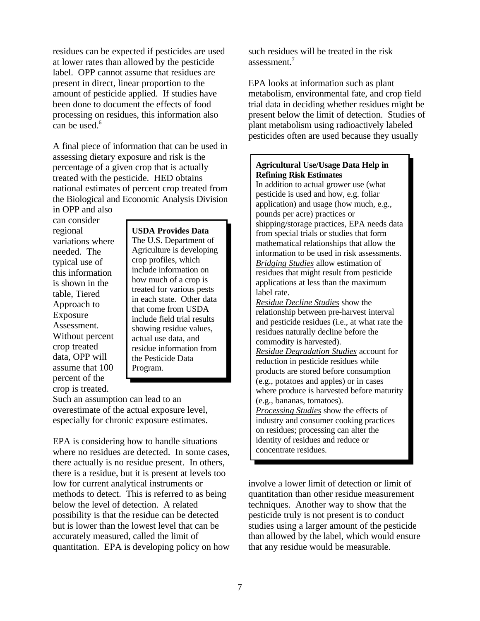residues can be expected if pesticides are used at lower rates than allowed by the pesticide label. OPP cannot assume that residues are present in direct, linear proportion to the amount of pesticide applied. If studies have been done to document the effects of food processing on residues, this information also can be used.<sup>6</sup>

A final piece of information that can be used in assessing dietary exposure and risk is the percentage of a given crop that is actually treated with the pesticide. HED obtains national estimates of percent crop treated from the Biological and Economic Analysis Division in OPP and also

can consider variations where needed. The assume that 100 Program. percent of the crop is treated.

regional **USDA Provides Data**  The U.S. Department of Agriculture is developing typical use of<br>this information<br>is shown in the the thousand how much of a crop is Fraction is shown in the treated for various pests treated for various pests in each state. Other data Approach to that come from USDA include field trial results Exposure<br>
Assessment.<br>
Without percent<br>
showing residue values,<br>
actual use data, and<br>
crop treated<br>
residue information from crop treated residue information from<br>data. OPP will the Pesticide Data the Pesticide Data

Such an assumption can lead to an overestimate of the actual exposure level, especially for chronic exposure estimates.

EPA is considering how to handle situations where no residues are detected. In some cases, there actually is no residue present. In others, there is a residue, but it is present at levels too low for current analytical instruments or methods to detect. This is referred to as being below the level of detection. A related possibility is that the residue can be detected but is lower than the lowest level that can be accurately measured, called the limit of quantitation. EPA is developing policy on how such residues will be treated in the risk assessment.7

EPA looks at information such as plant metabolism, environmental fate, and crop field trial data in deciding whether residues might be present below the limit of detection. Studies of plant metabolism using radioactively labeled pesticides often are used because they usually

#### **Agricultural Use/Usage Data Help in Refining Risk Estimates**

In addition to actual grower use (what pesticide is used and how, e.g. foliar application) and usage (how much, e.g., pounds per acre) practices or shipping/storage practices, EPA needs data from special trials or studies that form mathematical relationships that allow the information to be used in risk assessments. *Bridging Studies* allow estimation of residues that might result from pesticide applications at less than the maximum label rate.

*Residue Decline Studies* show the relationship between pre-harvest interval and pesticide residues (i.e., at what rate the residues naturally decline before the commodity is harvested). *Residue Degradation Studies* account for reduction in pesticide residues while products are stored before consumption (e.g., potatoes and apples) or in cases where produce is harvested before maturity (e.g., bananas, tomatoes). *Processing Studies* show the effects of industry and consumer cooking practices on residues; processing can alter the identity of residues and reduce or

concentrate residues.

involve a lower limit of detection or limit of quantitation than other residue measurement techniques. Another way to show that the pesticide truly is not present is to conduct studies using a larger amount of the pesticide than allowed by the label, which would ensure that any residue would be measurable.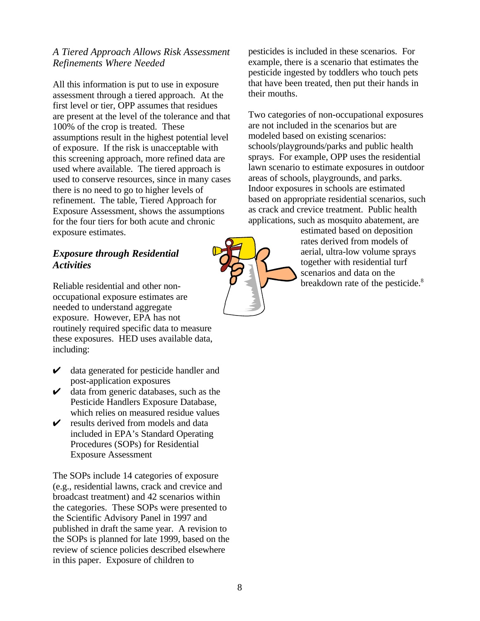### *A Tiered Approach Allows Risk Assessment Refinements Where Needed*

All this information is put to use in exposure assessment through a tiered approach. At the first level or tier, OPP assumes that residues are present at the level of the tolerance and that 100% of the crop is treated. These assumptions result in the highest potential level of exposure. If the risk is unacceptable with this screening approach, more refined data are used where available. The tiered approach is used to conserve resources, since in many cases there is no need to go to higher levels of refinement. The table, Tiered Approach for Exposure Assessment, shows the assumptions for the four tiers for both acute and chronic exposure estimates.

### *Exposure through Residential Activities*

Reliable residential and other nonoccupational exposure estimates are needed to understand aggregate exposure. However, EPA has not routinely required specific data to measure these exposures. HED uses available data, including:

- $\mathcal V$  data generated for pesticide handler and post-application exposures
- $\triangleright$  data from generic databases, such as the Pesticide Handlers Exposure Database, which relies on measured residue values
- $\triangleright$  results derived from models and data included in EPA's Standard Operating Procedures (SOPs) for Residential Exposure Assessment

The SOPs include 14 categories of exposure (e.g., residential lawns, crack and crevice and broadcast treatment) and 42 scenarios within the categories. These SOPs were presented to the Scientific Advisory Panel in 1997 and published in draft the same year. A revision to the SOPs is planned for late 1999, based on the review of science policies described elsewhere in this paper. Exposure of children to

pesticides is included in these scenarios. For example, there is a scenario that estimates the pesticide ingested by toddlers who touch pets that have been treated, then put their hands in their mouths.

Two categories of non-occupational exposures are not included in the scenarios but are modeled based on existing scenarios: schools/playgrounds/parks and public health sprays. For example, OPP uses the residential lawn scenario to estimate exposures in outdoor areas of schools, playgrounds, and parks. Indoor exposures in schools are estimated based on appropriate residential scenarios, such as crack and crevice treatment. Public health applications, such as mosquito abatement, are

estimated based on deposition rates derived from models of aerial, ultra-low volume sprays together with residential turf scenarios and data on the breakdown rate of the pesticide.<sup>8</sup>

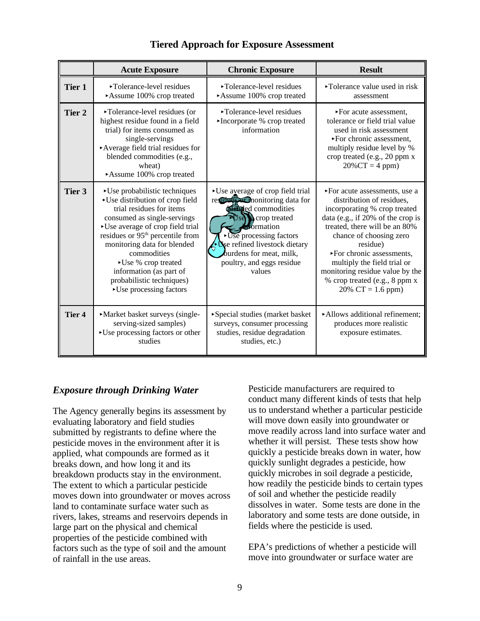|                   | <b>Acute Exposure</b>                                                                                                                                                                                                                                                                                                                                                                            | <b>Chronic Exposure</b>                                                                                                                                                                                                                                                  | <b>Result</b>                                                                                                                                                                                                                                                                                                                                                    |
|-------------------|--------------------------------------------------------------------------------------------------------------------------------------------------------------------------------------------------------------------------------------------------------------------------------------------------------------------------------------------------------------------------------------------------|--------------------------------------------------------------------------------------------------------------------------------------------------------------------------------------------------------------------------------------------------------------------------|------------------------------------------------------------------------------------------------------------------------------------------------------------------------------------------------------------------------------------------------------------------------------------------------------------------------------------------------------------------|
| <b>Tier 1</b>     | ►Tolerance-level residues<br>Assume 100% crop treated                                                                                                                                                                                                                                                                                                                                            | ►Tolerance-level residues<br>Assume 100% crop treated                                                                                                                                                                                                                    | ► Tolerance value used in risk<br>assessment                                                                                                                                                                                                                                                                                                                     |
| Tier 2            | ►Tolerance-level residues (or<br>highest residue found in a field<br>trial) for items consumed as<br>single-servings<br>Average field trial residues for<br>blended commodities (e.g.,<br>wheat)<br>Assume 100% crop treated                                                                                                                                                                     | ►Tolerance-level residues<br>•Incorporate % crop treated<br>information                                                                                                                                                                                                  | ► For acute assessment.<br>tolerance or field trial value<br>used in risk assessment<br>▶For chronic assessment,<br>multiply residue level by %<br>crop treated (e.g., 20 ppm x<br>$20\%$ CT = 4 ppm)                                                                                                                                                            |
| Tier 3            | $\blacktriangleright$ Use probabilistic techniques<br>► Use distribution of crop field<br>trial residues for items<br>consumed as single-servings<br>• Use average of crop field trial<br>residues or 95 <sup>th</sup> percentile from<br>monitoring data for blended<br>commodities<br>▶ Use % crop treated<br>information (as part of<br>probabilistic techniques)<br>► Use processing factors | • Use average of crop field trial<br>resolution on the data for<br><b>Religied commodities</b><br>$\leq$ formation<br>$\triangleright$ Use processing factors<br><b>O</b> se refined livestock dietary<br>burdens for meat, milk,<br>poultry, and eggs residue<br>values | ► For acute assessments, use a<br>distribution of residues.<br>incorporating % crop treated<br>data (e.g., if 20% of the crop is<br>treated, there will be an 80%<br>chance of choosing zero<br>residue)<br>▶For chronic assessments,<br>multiply the field trial or<br>monitoring residue value by the<br>% crop treated (e.g., 8 ppm x<br>$20\%$ CT = 1.6 ppm) |
| Tier <sub>4</sub> | • Market basket surveys (single-<br>serving-sized samples)<br>►Use processing factors or other<br>studies                                                                                                                                                                                                                                                                                        | Special studies (market basket<br>surveys, consumer processing<br>studies, residue degradation<br>studies, etc.)                                                                                                                                                         | Allows additional refinement;<br>produces more realistic<br>exposure estimates.                                                                                                                                                                                                                                                                                  |

#### **Tiered Approach for Exposure Assessment**

### *Exposure through Drinking Water*

The Agency generally begins its assessment by evaluating laboratory and field studies submitted by registrants to define where the pesticide moves in the environment after it is applied, what compounds are formed as it breaks down, and how long it and its breakdown products stay in the environment. The extent to which a particular pesticide moves down into groundwater or moves across land to contaminate surface water such as rivers, lakes, streams and reservoirs depends in large part on the physical and chemical properties of the pesticide combined with factors such as the type of soil and the amount of rainfall in the use areas.

Pesticide manufacturers are required to conduct many different kinds of tests that help us to understand whether a particular pesticide will move down easily into groundwater or move readily across land into surface water and whether it will persist. These tests show how quickly a pesticide breaks down in water, how quickly sunlight degrades a pesticide, how quickly microbes in soil degrade a pesticide, how readily the pesticide binds to certain types of soil and whether the pesticide readily dissolves in water. Some tests are done in the laboratory and some tests are done outside, in fields where the pesticide is used.

EPA's predictions of whether a pesticide will move into groundwater or surface water are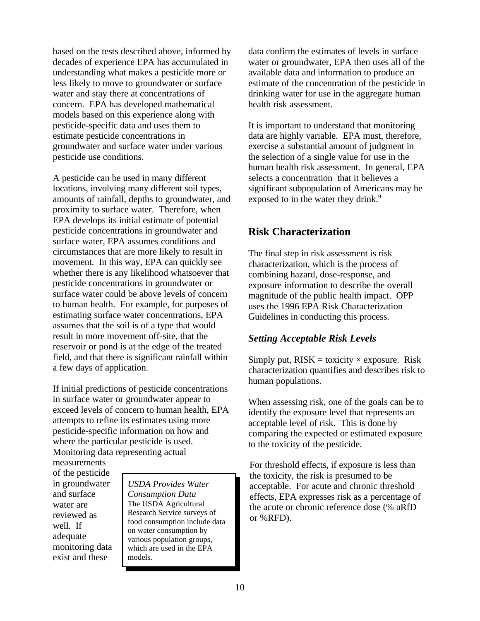based on the tests described above, informed by decades of experience EPA has accumulated in understanding what makes a pesticide more or less likely to move to groundwater or surface water and stay there at concentrations of concern. EPA has developed mathematical models based on this experience along with pesticide-specific data and uses them to estimate pesticide concentrations in groundwater and surface water under various pesticide use conditions.

A pesticide can be used in many different locations, involving many different soil types, amounts of rainfall, depths to groundwater, and proximity to surface water. Therefore, when EPA develops its initial estimate of potential pesticide concentrations in groundwater and surface water, EPA assumes conditions and circumstances that are more likely to result in movement. In this way, EPA can quickly see whether there is any likelihood whatsoever that pesticide concentrations in groundwater or surface water could be above levels of concern to human health. For example, for purposes of estimating surface water concentrations, EPA assumes that the soil is of a type that would result in more movement off-site, that the reservoir or pond is at the edge of the treated field, and that there is significant rainfall within a few days of application.

If initial predictions of pesticide concentrations in surface water or groundwater appear to exceed levels of concern to human health, EPA attempts to refine its estimates using more pesticide-specific information on how and where the particular pesticide is used. Monitoring data representing actual

measurements of the pesticide in groundwater and surface water are reviewed as well. If adequate monitoring data exist and these

*USDA Provides Water Consumption Data*  The USDA Agricultural Research Service surveys of food consumption include data on water consumption by various population groups, which are used in the EPA models.

data confirm the estimates of levels in surface water or groundwater, EPA then uses all of the available data and information to produce an estimate of the concentration of the pesticide in drinking water for use in the aggregate human health risk assessment.

It is important to understand that monitoring data are highly variable. EPA must, therefore, exercise a substantial amount of judgment in the selection of a single value for use in the human health risk assessment. In general, EPA selects a concentration that it believes a significant subpopulation of Americans may be exposed to in the water they drink.<sup>9</sup>

## **Risk Characterization**

The final step in risk assessment is risk characterization, which is the process of combining hazard, dose-response, and exposure information to describe the overall magnitude of the public health impact. OPP uses the 1996 EPA Risk Characterization Guidelines in conducting this process.

### *Setting Acceptable Risk Levels*

Simply put,  $RISK =$  toxicity  $\times$  exposure. Risk characterization quantifies and describes risk to human populations.

When assessing risk, one of the goals can be to identify the exposure level that represents an acceptable level of risk. This is done by comparing the expected or estimated exposure to the toxicity of the pesticide.

For threshold effects, if exposure is less than the toxicity, the risk is presumed to be acceptable. For acute and chronic threshold effects, EPA expresses risk as a percentage of the acute or chronic reference dose (% aRfD or %RFD).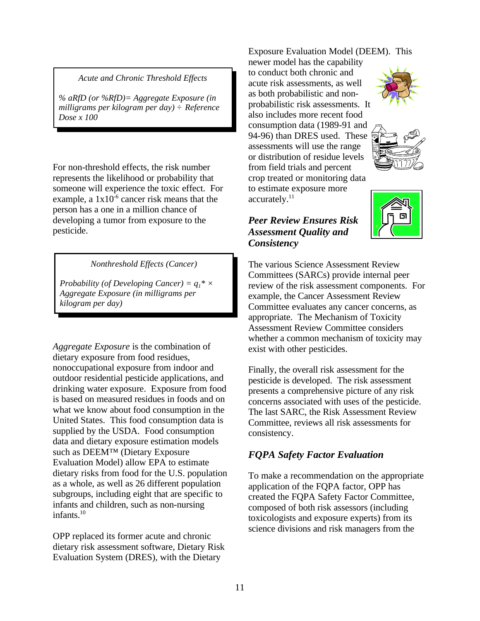#### *Acute and Chronic Threshold Effects*

*% aRfD (or %RfD)= Aggregate Exposure (in milligrams per kilogram per day) ÷ Reference Dose x 100* 

For non-threshold effects, the risk number represents the likelihood or probability that someone will experience the toxic effect. For example, a  $1x10^{-6}$  cancer risk means that the person has a one in a million chance of developing a tumor from exposure to the pesticide.

*Nonthreshold Effects (Cancer)* 

*Probability (of Developing Cancer)* =  $q_1$ <sup>\*</sup>  $\times$ *Aggregate Exposure (in milligrams per kilogram per day)* 

*Aggregate Exposure* is the combination of dietary exposure from food residues, nonoccupational exposure from indoor and outdoor residential pesticide applications, and drinking water exposure. Exposure from food is based on measured residues in foods and on what we know about food consumption in the United States. This food consumption data is supplied by the USDA. Food consumption data and dietary exposure estimation models such as DEEM™ (Dietary Exposure Evaluation Model) allow EPA to estimate dietary risks from food for the U.S. population as a whole, as well as 26 different population subgroups, including eight that are specific to infants and children, such as non-nursing infants. $10$ 

OPP replaced its former acute and chronic dietary risk assessment software, Dietary Risk Evaluation System (DRES), with the Dietary

Exposure Evaluation Model (DEEM). This

newer model has the capability to conduct both chronic and acute risk assessments, as well as both probabilistic and nonprobabilistic risk assessments. It also includes more recent food consumption data (1989-91 and 94-96) than DRES used. These assessments will use the range or distribution of residue levels from field trials and percent crop treated or monitoring data to estimate exposure more accurately.<sup>11</sup>





### *Peer Review Ensures Risk Assessment Quality and Consistency*

The various Science Assessment Review Committees (SARCs) provide internal peer review of the risk assessment components. For example, the Cancer Assessment Review Committee evaluates any cancer concerns, as appropriate. The Mechanism of Toxicity Assessment Review Committee considers whether a common mechanism of toxicity may exist with other pesticides.

Finally, the overall risk assessment for the pesticide is developed. The risk assessment presents a comprehensive picture of any risk concerns associated with uses of the pesticide. The last SARC, the Risk Assessment Review Committee, reviews all risk assessments for consistency.

## *FQPA Safety Factor Evaluation*

To make a recommendation on the appropriate application of the FQPA factor, OPP has created the FQPA Safety Factor Committee, composed of both risk assessors (including toxicologists and exposure experts) from its science divisions and risk managers from the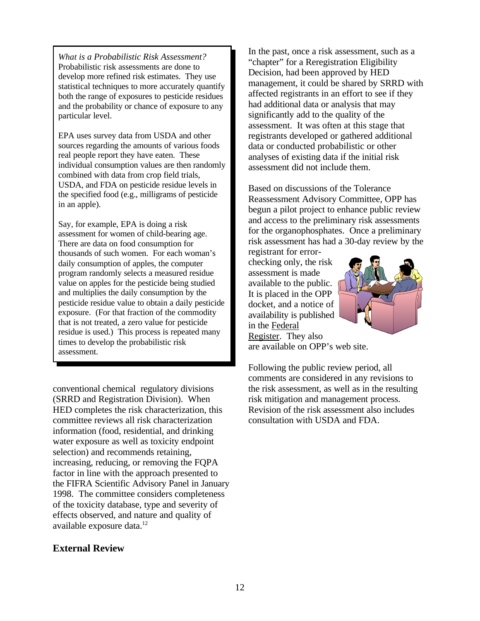*What is a Probabilistic Risk Assessment?*  Probabilistic risk assessments are done to develop more refined risk estimates. They use statistical techniques to more accurately quantify both the range of exposures to pesticide residues and the probability or chance of exposure to any particular level.

EPA uses survey data from USDA and other sources regarding the amounts of various foods real people report they have eaten. These individual consumption values are then randomly combined with data from crop field trials, USDA, and FDA on pesticide residue levels in the specified food (e.g., milligrams of pesticide in an apple).

Say, for example, EPA is doing a risk assessment for women of child-bearing age. There are data on food consumption for thousands of such women. For each woman's daily consumption of apples, the computer program randomly selects a measured residue value on apples for the pesticide being studied and multiplies the daily consumption by the pesticide residue value to obtain a daily pesticide exposure. (For that fraction of the commodity that is not treated, a zero value for pesticide residue is used.) This process is repeated many times to develop the probabilistic risk assessment.

conventional chemical regulatory divisions (SRRD and Registration Division). When HED completes the risk characterization, this committee reviews all risk characterization information (food, residential, and drinking water exposure as well as toxicity endpoint selection) and recommends retaining, increasing, reducing, or removing the FQPA factor in line with the approach presented to the FIFRA Scientific Advisory Panel in January 1998. The committee considers completeness of the toxicity database, type and severity of effects observed, and nature and quality of available exposure data.<sup>12</sup>

#### **External Review**

In the past, once a risk assessment, such as a "chapter" for a Reregistration Eligibility Decision, had been approved by HED management, it could be shared by SRRD with affected registrants in an effort to see if they had additional data or analysis that may significantly add to the quality of the assessment. It was often at this stage that registrants developed or gathered additional data or conducted probabilistic or other analyses of existing data if the initial risk assessment did not include them.

Based on discussions of the Tolerance Reassessment Advisory Committee, OPP has begun a pilot project to enhance public review and access to the preliminary risk assessments for the organophosphates. Once a preliminary risk assessment has had a 30-day review by the

registrant for errorchecking only, the risk assessment is made available to the public. It is placed in the OPP docket, and a notice of availability is published in the Federal Register. They also



are available on OPP's web site.

Following the public review period, all comments are considered in any revisions to the risk assessment, as well as in the resulting risk mitigation and management process. Revision of the risk assessment also includes consultation with USDA and FDA.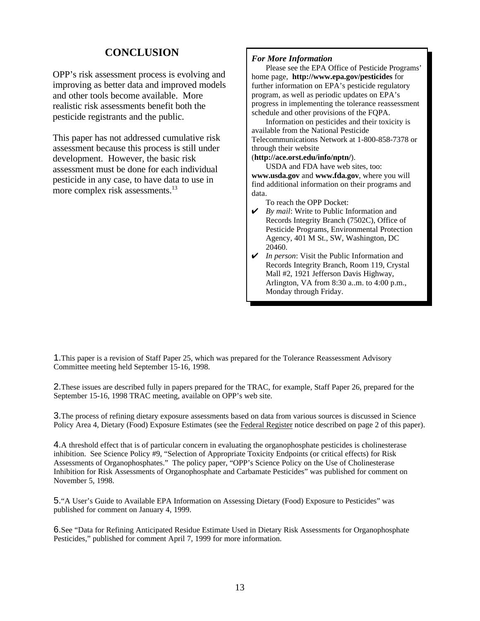## **CONCLUSION**

OPP's risk assessment process is evolving and improving as better data and improved models and other tools become available. More realistic risk assessments benefit both the pesticide registrants and the public.

This paper has not addressed cumulative risk assessment because this process is still under development. However, the basic risk assessment must be done for each individual pesticide in any case, to have data to use in more complex risk assessments.<sup>13</sup>

#### *For More Information*

Please see the EPA Office of Pesticide Programs' home page, **http://www.epa.gov/pesticides** for further information on EPA's pesticide regulatory program, as well as periodic updates on EPA's progress in implementing the tolerance reassessment schedule and other provisions of the FQPA.

Information on pesticides and their toxicity is available from the National Pesticide Telecommunications Network at 1-800-858-7378 or through their website

#### (**http://ace.orst.edu/info/nptn/**).

USDA and FDA have web sites, too: **www.usda.gov** and **www.fda.gov**, where you will find additional information on their programs and data.

To reach the OPP Docket:

- **►** *By mail:* Write to Public Information and Records Integrity Branch (7502C), Office of Pesticide Programs, Environmental Protection Agency, 401 M St., SW, Washington, DC 20460.
- *U In person*: Visit the Public Information and Records Integrity Branch, Room 119, Crystal Mall #2, 1921 Jefferson Davis Highway, Arlington, VA from 8:30 a..m. to 4:00 p.m., Monday through Friday.

1.This paper is a revision of Staff Paper 25, which was prepared for the Tolerance Reassessment Advisory Committee meeting held September 15-16, 1998.

2.These issues are described fully in papers prepared for the TRAC, for example, Staff Paper 26, prepared for the September 15-16, 1998 TRAC meeting, available on OPP's web site.

3.The process of refining dietary exposure assessments based on data from various sources is discussed in Science Policy Area 4, Dietary (Food) Exposure Estimates (see the Federal Register notice described on page 2 of this paper).

4.A threshold effect that is of particular concern in evaluating the organophosphate pesticides is cholinesterase inhibition. See Science Policy #9, "Selection of Appropriate Toxicity Endpoints (or critical effects) for Risk Assessments of Organophosphates." The policy paper, "OPP's Science Policy on the Use of Cholinesterase Inhibition for Risk Assessments of Organophosphate and Carbamate Pesticides" was published for comment on November 5, 1998.

5."A User's Guide to Available EPA Information on Assessing Dietary (Food) Exposure to Pesticides" was published for comment on January 4, 1999.

6.See "Data for Refining Anticipated Residue Estimate Used in Dietary Risk Assessments for Organophosphate Pesticides," published for comment April 7, 1999 for more information.